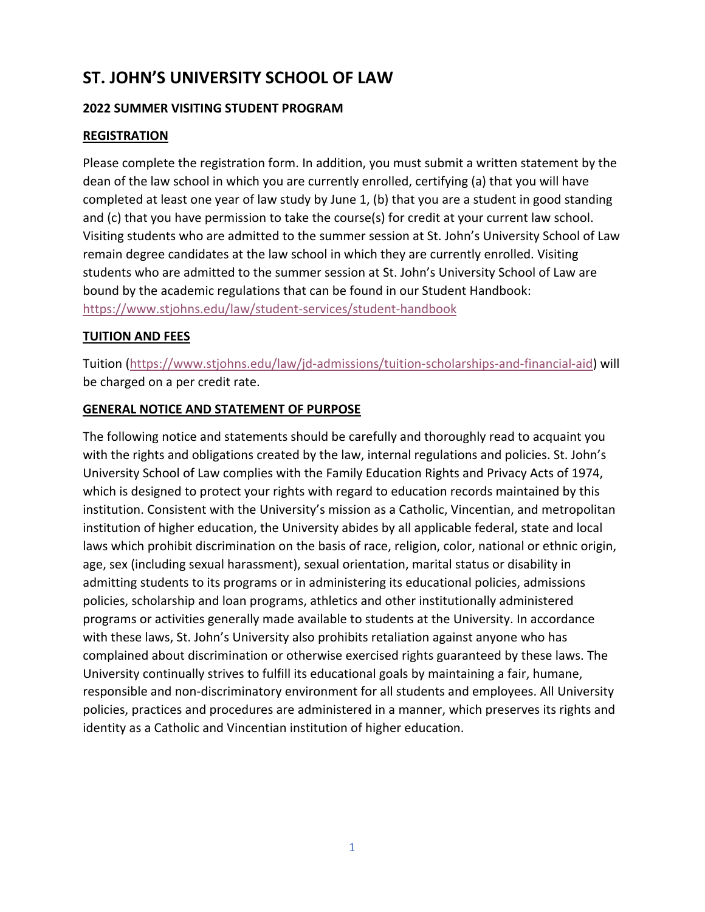# **ST. JOHN'S UNIVERSITY SCHOOL OF LAW**

## **2022 SUMMER VISITING STUDENT PROGRAM**

## **REGISTRATION**

Please complete the registration form. In addition, you must submit a written statement by the dean of the law school in which you are currently enrolled, certifying (a) that you will have completed at least one year of law study by June 1, (b) that you are a student in good standing and (c) that you have permission to take the course(s) for credit at your current law school. Visiting students who are admitted to the summer session at St. John's University School of Law remain degree candidates at the law school in which they are currently enrolled. Visiting students who are admitted to the summer session at St. John's University School of Law are bound by the academic regulations that can be found in our Student Handbook: https://www.stjohns.edu/law/student‐services/student‐handbook

#### **TUITION AND FEES**

Tuition (https://www.stjohns.edu/law/jd‐admissions/tuition‐scholarships‐and‐financial‐aid) will be charged on a per credit rate.

#### **GENERAL NOTICE AND STATEMENT OF PURPOSE**

The following notice and statements should be carefully and thoroughly read to acquaint you with the rights and obligations created by the law, internal regulations and policies. St. John's University School of Law complies with the Family Education Rights and Privacy Acts of 1974, which is designed to protect your rights with regard to education records maintained by this institution. Consistent with the University's mission as a Catholic, Vincentian, and metropolitan institution of higher education, the University abides by all applicable federal, state and local laws which prohibit discrimination on the basis of race, religion, color, national or ethnic origin, age, sex (including sexual harassment), sexual orientation, marital status or disability in admitting students to its programs or in administering its educational policies, admissions policies, scholarship and loan programs, athletics and other institutionally administered programs or activities generally made available to students at the University. In accordance with these laws, St. John's University also prohibits retaliation against anyone who has complained about discrimination or otherwise exercised rights guaranteed by these laws. The University continually strives to fulfill its educational goals by maintaining a fair, humane, responsible and non‐discriminatory environment for all students and employees. All University policies, practices and procedures are administered in a manner, which preserves its rights and identity as a Catholic and Vincentian institution of higher education.